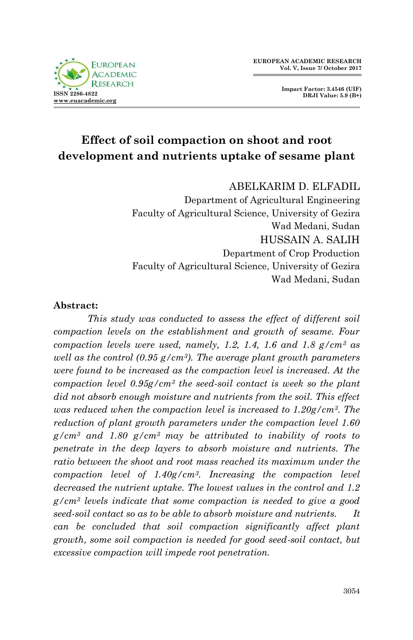

# **Effect of soil compaction on shoot and root development and nutrients uptake of sesame plant**

ABELKARIM D. ELFADIL

Department of Agricultural Engineering Faculty of Agricultural Science, University of Gezira Wad Medani, Sudan HUSSAIN A. SALIH Department of Crop Production Faculty of Agricultural Science, University of Gezira Wad Medani, Sudan

#### **Abstract:**

*This study was conducted to assess the effect of different soil compaction levels on the establishment and growth of sesame. Four compaction levels were used, namely, 1.2, 1.4, 1.6 and 1.8 g/cm<sup>3</sup> as well as the control (0.95 g/cm3). The average plant growth parameters were found to be increased as the compaction level is increased. At the compaction level 0.95g/cm<sup>3</sup> the seed-soil contact is week so the plant did not absorb enough moisture and nutrients from the soil. This effect was reduced when the compaction level is increased to 1.20g/cm3. The reduction of plant growth parameters under the compaction level 1.60 g/cm<sup>3</sup> and 1.80 g/cm3 may be attributed to inability of roots to penetrate in the deep layers to absorb moisture and nutrients. The ratio between the shoot and root mass reached its maximum under the compaction level of 1.40g/cm3. Increasing the compaction level decreased the nutrient uptake. The lowest values in the control and 1.2 g/cm<sup>3</sup> levels indicate that some compaction is needed to give a good seed-soil contact so as to be able to absorb moisture and nutrients. It can be concluded that soil compaction significantly affect plant growth, some soil compaction is needed for good seed-soil contact, but excessive compaction will impede root penetration.*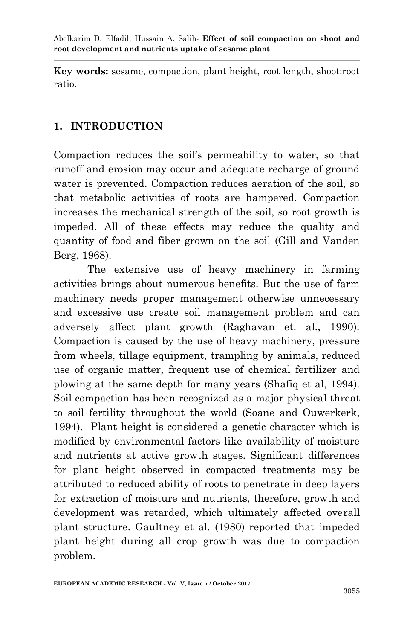**Key words:** sesame, compaction, plant height, root length, shoot:root ratio.

# **1. INTRODUCTION**

Compaction reduces the soil's permeability to water, so that runoff and erosion may occur and adequate recharge of ground water is prevented. Compaction reduces aeration of the soil, so that metabolic activities of roots are hampered. Compaction increases the mechanical strength of the soil, so root growth is impeded. All of these effects may reduce the quality and quantity of food and fiber grown on the soil (Gill and Vanden Berg, 1968).

 The extensive use of heavy machinery in farming activities brings about numerous benefits. But the use of farm machinery needs proper management otherwise unnecessary and excessive use create soil management problem and can adversely affect plant growth (Raghavan et. al., 1990). Compaction is caused by the use of heavy machinery, pressure from wheels, tillage equipment, trampling by animals, reduced use of organic matter, frequent use of chemical fertilizer and plowing at the same depth for many years (Shafiq et al, 1994). Soil compaction has been recognized as a major physical threat to soil fertility throughout the world (Soane and Ouwerkerk, 1994). Plant height is considered a genetic character which is modified by environmental factors like availability of moisture and nutrients at active growth stages. Significant differences for plant height observed in compacted treatments may be attributed to reduced ability of roots to penetrate in deep layers for extraction of moisture and nutrients, therefore, growth and development was retarded, which ultimately affected overall plant structure. Gaultney et al. (1980) reported that impeded plant height during all crop growth was due to compaction problem.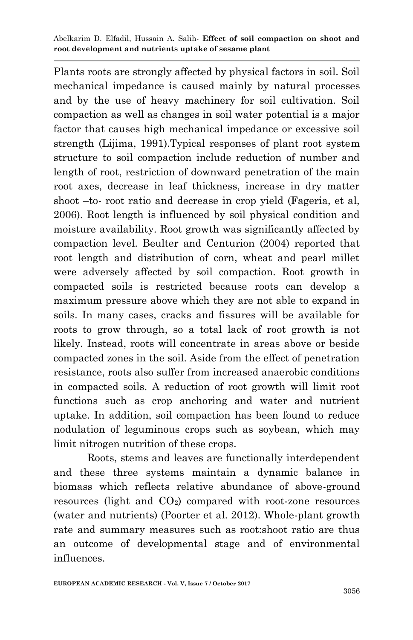Plants roots are strongly affected by physical factors in soil. Soil mechanical impedance is caused mainly by natural processes and by the use of heavy machinery for soil cultivation. Soil compaction as well as changes in soil water potential is a major factor that causes high mechanical impedance or excessive soil strength (Lijima, 1991).Typical responses of plant root system structure to soil compaction include reduction of number and length of root, restriction of downward penetration of the main root axes, decrease in leaf thickness, increase in dry matter shoot –to- root ratio and decrease in crop yield (Fageria, et al, 2006). Root length is influenced by soil physical condition and moisture availability. Root growth was significantly affected by compaction level. Beulter and Centurion (2004) reported that root length and distribution of corn, wheat and pearl millet were adversely affected by soil compaction. Root growth in compacted soils is restricted because roots can develop a maximum pressure above which they are not able to expand in soils. In many cases, cracks and fissures will be available for roots to grow through, so a total lack of root growth is not likely. Instead, roots will concentrate in areas above or beside compacted zones in the soil. Aside from the effect of penetration resistance, roots also suffer from increased anaerobic conditions in compacted soils. A reduction of root growth will limit root functions such as crop anchoring and water and nutrient uptake. In addition, soil compaction has been found to reduce nodulation of leguminous crops such as soybean, which may limit nitrogen nutrition of these crops.

 Roots, stems and leaves are functionally interdependent and these three systems maintain a dynamic balance in biomass which reflects relative abundance of above-ground resources (light and  $CO<sub>2</sub>$ ) compared with root-zone resources (water and nutrients) (Poorter et al. 2012). Whole-plant growth rate and summary measures such as root:shoot ratio are thus an outcome of developmental stage and of environmental influences.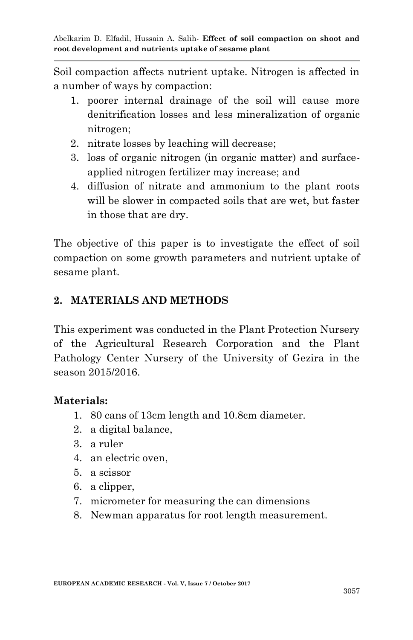Soil compaction affects nutrient uptake. Nitrogen is affected in a number of ways by compaction:

- 1. poorer internal drainage of the soil will cause more denitrification losses and less mineralization of organic nitrogen;
- 2. nitrate losses by leaching will decrease;
- 3. loss of organic nitrogen (in organic matter) and surfaceapplied nitrogen fertilizer may increase; and
- 4. diffusion of nitrate and ammonium to the plant roots will be slower in compacted soils that are wet, but faster in those that are dry.

The objective of this paper is to investigate the effect of soil compaction on some growth parameters and nutrient uptake of sesame plant.

# **2. MATERIALS AND METHODS**

This experiment was conducted in the Plant Protection Nursery of the Agricultural Research Corporation and the Plant Pathology Center Nursery of the University of Gezira in the season 2015/2016.

#### **Materials:**

- 1. 80 cans of 13cm length and 10.8cm diameter.
- 2. a digital balance,
- 3. a ruler
- 4. an electric oven,
- 5. a scissor
- 6. a clipper,
- 7. micrometer for measuring the can dimensions
- 8. Newman apparatus for root length measurement.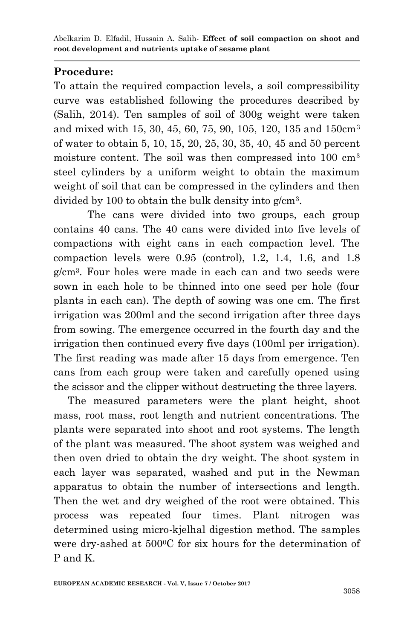# **Procedure:**

To attain the required compaction levels, a soil compressibility curve was established following the procedures described by (Salih, 2014). Ten samples of soil of 300g weight were taken and mixed with 15, 30, 45, 60, 75, 90, 105, 120, 135 and 150cm<sup>3</sup> of water to obtain 5, 10, 15, 20, 25, 30, 35, 40, 45 and 50 percent moisture content. The soil was then compressed into 100 cm<sup>3</sup> steel cylinders by a uniform weight to obtain the maximum weight of soil that can be compressed in the cylinders and then divided by 100 to obtain the bulk density into g/cm<sup>3</sup> .

The cans were divided into two groups, each group contains 40 cans. The 40 cans were divided into five levels of compactions with eight cans in each compaction level. The compaction levels were 0.95 (control), 1.2, 1.4, 1.6, and 1.8 g/cm<sup>3</sup> . Four holes were made in each can and two seeds were sown in each hole to be thinned into one seed per hole (four plants in each can). The depth of sowing was one cm. The first irrigation was 200ml and the second irrigation after three days from sowing. The emergence occurred in the fourth day and the irrigation then continued every five days (100ml per irrigation). The first reading was made after 15 days from emergence. Ten cans from each group were taken and carefully opened using the scissor and the clipper without destructing the three layers.

 The measured parameters were the plant height, shoot mass, root mass, root length and nutrient concentrations. The plants were separated into shoot and root systems. The length of the plant was measured. The shoot system was weighed and then oven dried to obtain the dry weight. The shoot system in each layer was separated, washed and put in the Newman apparatus to obtain the number of intersections and length. Then the wet and dry weighed of the root were obtained. This process was repeated four times. Plant nitrogen was determined using micro-kjelhal digestion method. The samples were dry-ashed at 500<sup>o</sup>C for six hours for the determination of P and K.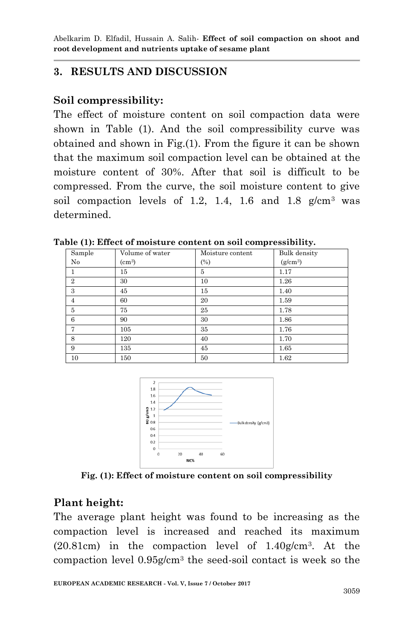# **3. RESULTS AND DISCUSSION**

### **Soil compressibility:**

The effect of moisture content on soil compaction data were shown in Table (1). And the soil compressibility curve was obtained and shown in Fig.(1). From the figure it can be shown that the maximum soil compaction level can be obtained at the moisture content of 30%. After that soil is difficult to be compressed. From the curve, the soil moisture content to give soil compaction levels of 1.2, 1.4, 1.6 and 1.8  $g/cm^3$  was determined.

| Sample         | Volume of water | Moisture content | Bulk density |
|----------------|-----------------|------------------|--------------|
| No             | $\rm (cm^3)$    | (%)              | $(g/cm^3)$   |
|                | 15              | 5                | 1.17         |
| $\overline{2}$ | 30              | 10               | 1.26         |
| 3              | 45              | 15               | 1.40         |
| $\overline{4}$ | 60              | 20               | 1.59         |
| 5              | 75              | 25               | 1.78         |
| 6              | 90              | 30               | 1.86         |
| 7              | 105             | 35               | 1.76         |
| 8              | 120             | 40               | 1.70         |
| 9              | 135             | 45               | 1.65         |
| 10             | 150             | 50               | 1.62         |

**Table (1): Effect of moisture content on soil compressibility.**



**Fig. (1): Effect of moisture content on soil compressibility**

#### **Plant height:**

The average plant height was found to be increasing as the compaction level is increased and reached its maximum (20.81cm) in the compaction level of 1.40g/cm<sup>3</sup> . At the compaction level 0.95g/cm<sup>3</sup> the seed-soil contact is week so the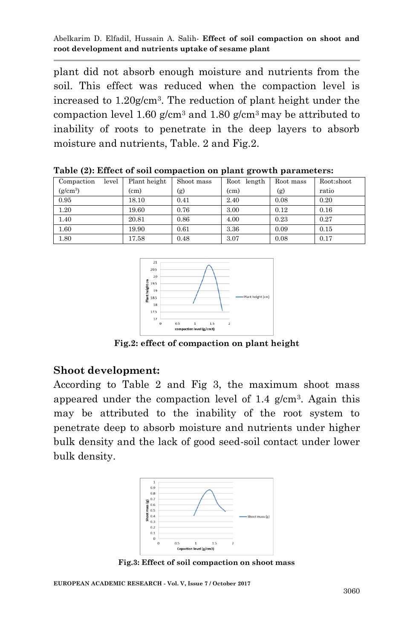plant did not absorb enough moisture and nutrients from the soil. This effect was reduced when the compaction level is increased to 1.20g/cm<sup>3</sup> . The reduction of plant height under the compaction level 1.60  $g/cm^3$  and 1.80  $g/cm^3$  may be attributed to inability of roots to penetrate in the deep layers to absorb moisture and nutrients, Table. 2 and Fig.2.

| Compaction | level | Plant height | Shoot mass | length<br>Root    | Root mass | Root:shoot |
|------------|-------|--------------|------------|-------------------|-----------|------------|
| $(g/cm^3)$ |       | (cm)         | (g)        | (c <sub>m</sub> ) | (g)       | ratio      |
| 0.95       |       | 18.10        | 0.41       | 2.40              | 0.08      | 0.20       |
| 1.20       |       | 19.60        | 0.76       | 3.00              | 0.12      | 0.16       |
| 1.40       |       | 20.81        | 0.86       | 4.00              | 0.23      | 0.27       |
| 1.60       |       | 19.90        | 0.61       | 3.36              | 0.09      | 0.15       |
| 1.80       |       | 17.58        | 0.48       | 3.07              | 0.08      | 0.17       |

**Table (2): Effect of soil compaction on plant growth parameters:**



**Fig.2: effect of compaction on plant height**

#### **Shoot development:**

According to Table 2 and Fig 3, the maximum shoot mass appeared under the compaction level of 1.4 g/cm<sup>3</sup> . Again this may be attributed to the inability of the root system to penetrate deep to absorb moisture and nutrients under higher bulk density and the lack of good seed-soil contact under lower bulk density.



**Fig.3: Effect of soil compaction on shoot mass**

**EUROPEAN ACADEMIC RESEARCH - Vol. V, Issue 7 / October 2017**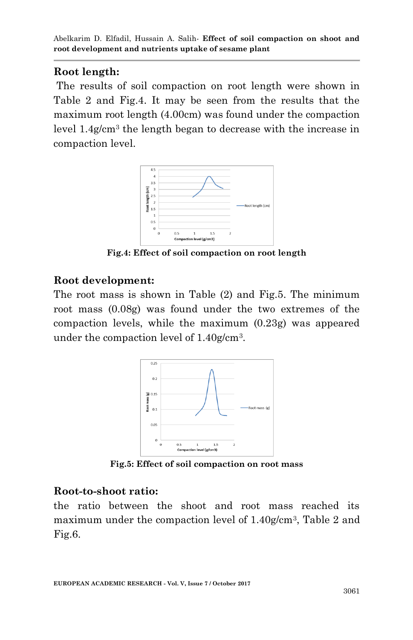# **Root length:**

The results of soil compaction on root length were shown in Table 2 and Fig.4. It may be seen from the results that the maximum root length (4.00cm) was found under the compaction level 1.4g/cm<sup>3</sup> the length began to decrease with the increase in compaction level.



**Fig.4: Effect of soil compaction on root length**

#### **Root development:**

The root mass is shown in Table (2) and Fig.5. The minimum root mass (0.08g) was found under the two extremes of the compaction levels, while the maximum (0.23g) was appeared under the compaction level of 1.40g/cm<sup>3</sup> .



**Fig.5: Effect of soil compaction on root mass**

### **Root-to-shoot ratio:**

the ratio between the shoot and root mass reached its maximum under the compaction level of 1.40g/cm<sup>3</sup>, Table 2 and Fig.6.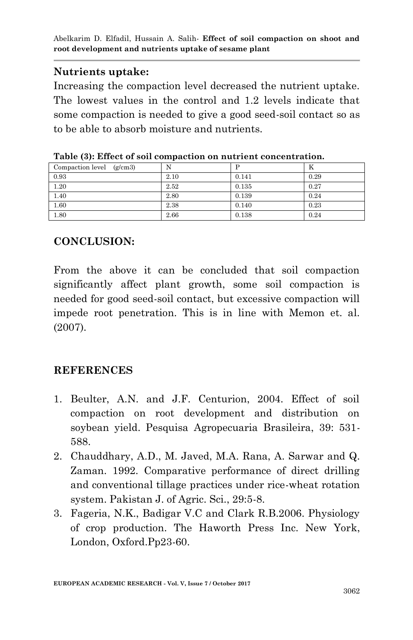# **Nutrients uptake:**

Increasing the compaction level decreased the nutrient uptake. The lowest values in the control and 1.2 levels indicate that some compaction is needed to give a good seed-soil contact so as to be able to absorb moisture and nutrients.

| Compaction level $(g/cm3)$ | N    |       | n    |
|----------------------------|------|-------|------|
| 0.93                       | 2.10 | 0.141 | 0.29 |
| 1.20                       | 2.52 | 0.135 | 0.27 |
| 1.40                       | 2.80 | 0.139 | 0.24 |
| 1.60                       | 2.38 | 0.140 | 0.23 |
| 1.80                       | 2.66 | 0.138 | 0.24 |

| Table (3): Effect of soil compaction on nutrient concentration. |  |
|-----------------------------------------------------------------|--|
|-----------------------------------------------------------------|--|

# **CONCLUSION:**

From the above it can be concluded that soil compaction significantly affect plant growth, some soil compaction is needed for good seed-soil contact, but excessive compaction will impede root penetration. This is in line with Memon et. al. (2007).

# **REFERENCES**

- 1. Beulter, A.N. and J.F. Centurion, 2004. Effect of soil compaction on root development and distribution on soybean yield. Pesquisa Agropecuaria Brasileira, 39: 531- 588.
- 2. Chauddhary, A.D., M. Javed, M.A. Rana, A. Sarwar and Q. Zaman. 1992. Comparative performance of direct drilling and conventional tillage practices under rice-wheat rotation system. Pakistan J. of Agric. Sci., 29:5-8.
- 3. Fageria, N.K., Badigar V.C and Clark R.B.2006. Physiology of crop production. The Haworth Press Inc. New York, London, Oxford.Pp23-60.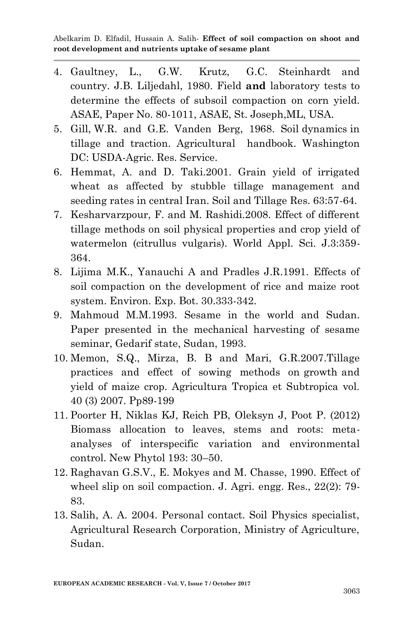- 4. Gaultney, L., G.W. Krutz, G.C. Steinhardt and country. J.B. Liljedahl, 1980. Field **and** laboratory tests to determine the effects of subsoil compaction on corn yield. ASAE, Paper No. 80-1011, ASAE, St. Joseph,ML, USA.
- 5. Gill, W.R. and G.E. Vanden Berg, 1968. Soil dynamics in tillage and traction. Agricultural handbook. Washington DC: USDA-Agric. Res. Service.
- 6. Hemmat, A. and D. Taki.2001. Grain yield of irrigated wheat as affected by stubble tillage management and seeding rates in central Iran. Soil and Tillage Res. 63:57-64.
- 7. Kesharvarzpour, F. and M. Rashidi.2008. Effect of different tillage methods on soil physical properties and crop yield of watermelon (citrullus vulgaris). World Appl. Sci. J.3:359- 364.
- 8. Lijima M.K., Yanauchi A and Pradles J.R.1991. Effects of soil compaction on the development of rice and maize root system. Environ. Exp. Bot. 30.333-342.
- 9. Mahmoud M.M.1993. Sesame in the world and Sudan. Paper presented in the mechanical harvesting of sesame seminar, Gedarif state, Sudan, 1993.
- 10. Memon, S.Q., Mirza, B. B and Mari, G.R.2007.Tillage practices and effect of sowing methods on growth and yield of maize crop. Agricultura Tropica et Subtropica vol. 40 (3) 2007. Pp89-199
- 11. Poorter H, Niklas KJ, Reich PB, Oleksyn J, Poot P. (2012) Biomass allocation to leaves, stems and roots: metaanalyses of interspecific variation and environmental control. New Phytol 193: 30–50.
- 12. Raghavan G.S.V., E. Mokyes and M. Chasse, 1990. Effect of wheel slip on soil compaction. J. Agri. engg. Res., 22(2): 79- 83.
- 13. Salih, A. A. 2004. Personal contact. Soil Physics specialist, Agricultural Research Corporation, Ministry of Agriculture, Sudan.